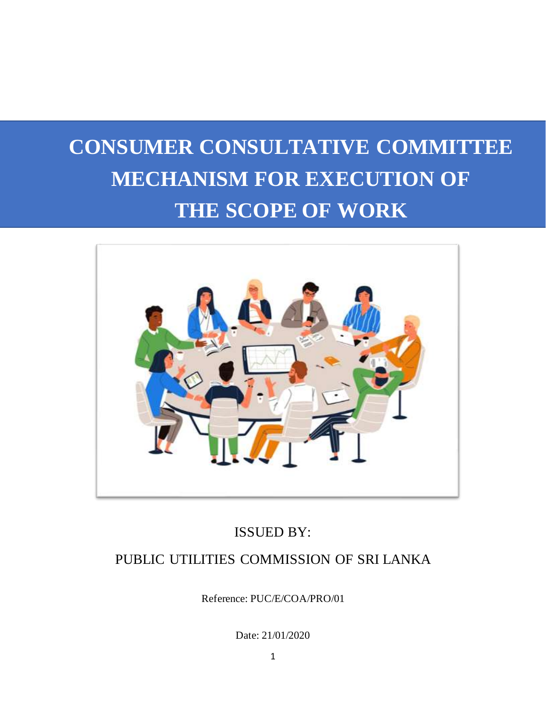# **CONSUMER CONSULTATIVE COMMITTEE MECHANISM FOR EXECUTION OF THE SCOPE OF WORK**



# ISSUED BY:

# PUBLIC UTILITIES COMMISSION OF SRI LANKA

Reference: PUC/E/COA/PRO/01

Date: 21/01/2020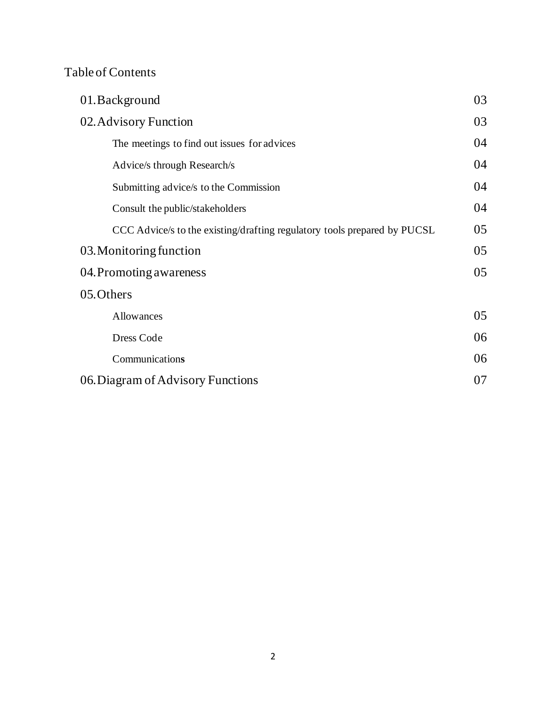# Table of Contents

| 01. Background                                                           | 03 |
|--------------------------------------------------------------------------|----|
| 02. Advisory Function                                                    | 03 |
| The meetings to find out issues for advices                              | 04 |
| Advice/s through Research/s                                              | 04 |
| Submitting advice/s to the Commission                                    | 04 |
| Consult the public/stakeholders                                          | 04 |
| CCC Advice/s to the existing/drafting regulatory tools prepared by PUCSL | 05 |
| 03. Monitoring function                                                  | 05 |
| 04. Promoting awareness                                                  | 05 |
| 05. Others                                                               |    |
| Allowances                                                               | 05 |
| Dress Code                                                               | 06 |
| Communications                                                           | 06 |
| 06. Diagram of Advisory Functions                                        | 07 |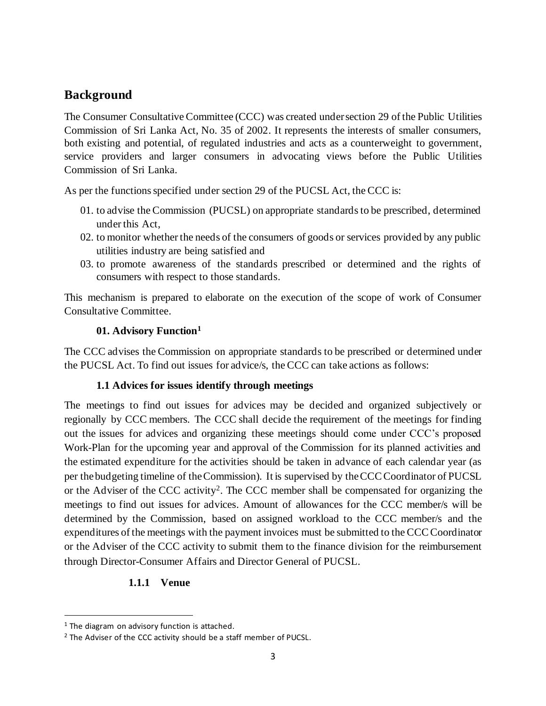## **Background**

The Consumer Consultative Committee (CCC) was created under section 29 of the Public Utilities Commission of Sri Lanka Act, No. 35 of 2002. It represents the interests of smaller consumers, both existing and potential, of regulated industries and acts as a counterweight to government, service providers and larger consumers in advocating views before the Public Utilities Commission of Sri Lanka.

As per the functions specified under section 29 of the PUCSL Act, the CCC is:

- 01. to advise the Commission (PUCSL) on appropriate standards to be prescribed, determined under this Act,
- 02. to monitor whether the needs of the consumers of goods or services provided by any public utilities industry are being satisfied and
- 03. to promote awareness of the standards prescribed or determined and the rights of consumers with respect to those standards.

This mechanism is prepared to elaborate on the execution of the scope of work of Consumer Consultative Committee.

#### **01. Advisory Function<sup>1</sup>**

The CCC advises the Commission on appropriate standards to be prescribed or determined under the PUCSL Act. To find out issues for advice/s, the CCC can take actions as follows:

#### **1.1 Advices for issues identify through meetings**

The meetings to find out issues for advices may be decided and organized subjectively or regionally by CCC members. The CCC shall decide the requirement of the meetings for finding out the issues for advices and organizing these meetings should come under CCC's proposed Work-Plan for the upcoming year and approval of the Commission for its planned activities and the estimated expenditure for the activities should be taken in advance of each calendar year (as per the budgeting timeline of the Commission). It is supervised by the CCC Coordinator of PUCSL or the Adviser of the CCC activity<sup>2</sup>. The CCC member shall be compensated for organizing the meetings to find out issues for advices. Amount of allowances for the CCC member/s will be determined by the Commission, based on assigned workload to the CCC member/s and the expenditures of the meetings with the payment invoices must be submitted to the CCC Coordinator or the Adviser of the CCC activity to submit them to the finance division for the reimbursement through Director-Consumer Affairs and Director General of PUCSL.

#### **1.1.1 Venue**

 $1$  The diagram on advisory function is attached.

<sup>&</sup>lt;sup>2</sup> The Adviser of the CCC activity should be a staff member of PUCSL.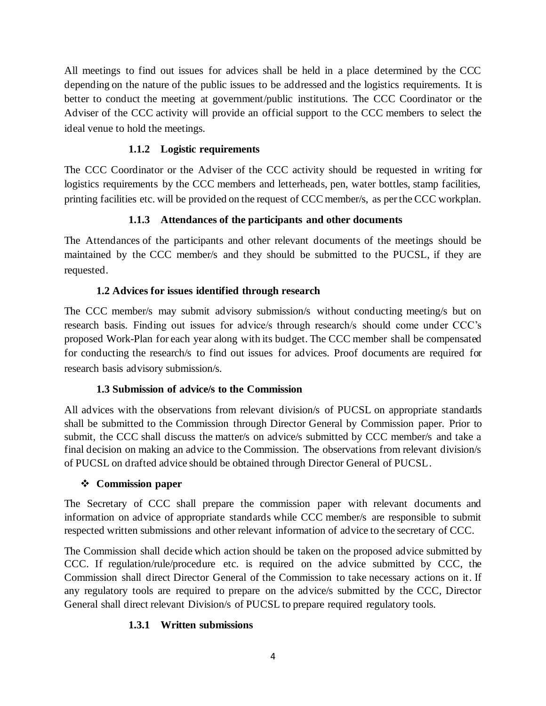All meetings to find out issues for advices shall be held in a place determined by the CCC depending on the nature of the public issues to be addressed and the logistics requirements. It is better to conduct the meeting at government/public institutions. The CCC Coordinator or the Adviser of the CCC activity will provide an official support to the CCC members to select the ideal venue to hold the meetings.

#### **1.1.2 Logistic requirements**

The CCC Coordinator or the Adviser of the CCC activity should be requested in writing for logistics requirements by the CCC members and letterheads, pen, water bottles, stamp facilities, printing facilities etc. will be provided on the request of CCC member/s, as per the CCC workplan.

#### **1.1.3 Attendances of the participants and other documents**

The Attendances of the participants and other relevant documents of the meetings should be maintained by the CCC member/s and they should be submitted to the PUCSL, if they are requested.

#### **1.2 Advices for issues identified through research**

The CCC member/s may submit advisory submission/s without conducting meeting/s but on research basis. Finding out issues for advice/s through research/s should come under CCC's proposed Work-Plan for each year along with its budget. The CCC member shall be compensated for conducting the research/s to find out issues for advices. Proof documents are required for research basis advisory submission/s.

#### **1.3 Submission of advice/s to the Commission**

All advices with the observations from relevant division/s of PUCSL on appropriate standards shall be submitted to the Commission through Director General by Commission paper. Prior to submit, the CCC shall discuss the matter/s on advice/s submitted by CCC member/s and take a final decision on making an advice to the Commission. The observations from relevant division/s of PUCSL on drafted advice should be obtained through Director General of PUCSL.

#### ❖ **Commission paper**

The Secretary of CCC shall prepare the commission paper with relevant documents and information on advice of appropriate standards while CCC member/s are responsible to submit respected written submissions and other relevant information of advice to the secretary of CCC.

The Commission shall decide which action should be taken on the proposed advice submitted by CCC. If regulation/rule/procedure etc. is required on the advice submitted by CCC, the Commission shall direct Director General of the Commission to take necessary actions on it. If any regulatory tools are required to prepare on the advice/s submitted by the CCC, Director General shall direct relevant Division/s of PUCSL to prepare required regulatory tools.

#### **1.3.1 Written submissions**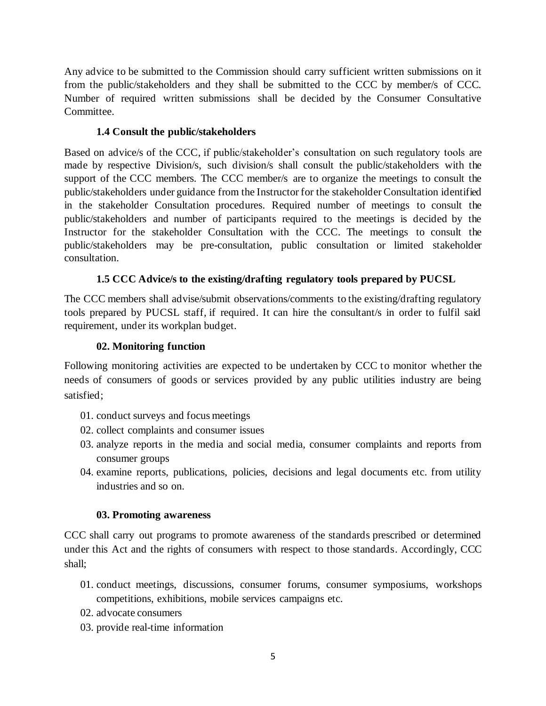Any advice to be submitted to the Commission should carry sufficient written submissions on it from the public/stakeholders and they shall be submitted to the CCC by member/s of CCC. Number of required written submissions shall be decided by the Consumer Consultative Committee.

#### **1.4 Consult the public/stakeholders**

Based on advice/s of the CCC, if public/stakeholder's consultation on such regulatory tools are made by respective Division/s, such division/s shall consult the public/stakeholders with the support of the CCC members. The CCC member/s are to organize the meetings to consult the public/stakeholders under guidance from the Instructor for the stakeholder Consultation identified in the stakeholder Consultation procedures. Required number of meetings to consult the public/stakeholders and number of participants required to the meetings is decided by the Instructor for the stakeholder Consultation with the CCC. The meetings to consult the public/stakeholders may be pre-consultation, public consultation or limited stakeholder consultation.

#### **1.5 CCC Advice/s to the existing/drafting regulatory tools prepared by PUCSL**

The CCC members shall advise/submit observations/comments to the existing/drafting regulatory tools prepared by PUCSL staff, if required. It can hire the consultant/s in order to fulfil said requirement, under its workplan budget.

#### **02. Monitoring function**

Following monitoring activities are expected to be undertaken by CCC to monitor whether the needs of consumers of goods or services provided by any public utilities industry are being satisfied;

- 01. conduct surveys and focus meetings
- 02. collect complaints and consumer issues
- 03. analyze reports in the media and social media, consumer complaints and reports from consumer groups
- 04. examine reports, publications, policies, decisions and legal documents etc. from utility industries and so on.

#### **03. Promoting awareness**

CCC shall carry out programs to promote awareness of the standards prescribed or determined under this Act and the rights of consumers with respect to those standards. Accordingly, CCC shall;

- 01. conduct meetings, discussions, consumer forums, consumer symposiums, workshops competitions, exhibitions, mobile services campaigns etc.
- 02. advocate consumers
- 03. provide real-time information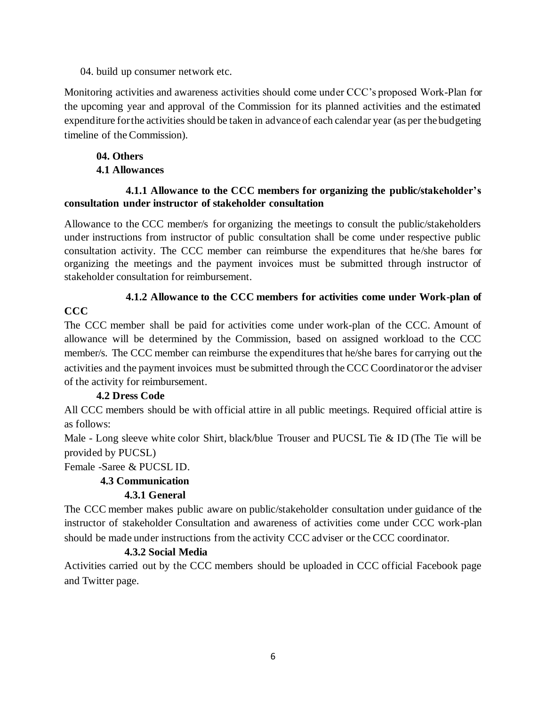04. build up consumer network etc.

Monitoring activities and awareness activities should come under CCC's proposed Work-Plan for the upcoming year and approval of the Commission for its planned activities and the estimated expenditure for the activities should be taken in advance of each calendar year (as per the budgeting timeline of the Commission).

#### **04. Others 4.1 Allowances**

#### **4.1.1 Allowance to the CCC members for organizing the public/stakeholder's consultation under instructor of stakeholder consultation**

Allowance to the CCC member/s for organizing the meetings to consult the public/stakeholders under instructions from instructor of public consultation shall be come under respective public consultation activity. The CCC member can reimburse the expenditures that he/she bares for organizing the meetings and the payment invoices must be submitted through instructor of stakeholder consultation for reimbursement.

# **4.1.2 Allowance to the CCC members for activities come under Work-plan of**

#### **CCC**

The CCC member shall be paid for activities come under work-plan of the CCC. Amount of allowance will be determined by the Commission, based on assigned workload to the CCC member/s. The CCC member can reimburse the expenditures that he/she bares for carrying out the activities and the payment invoices must be submitted through the CCC Coordinator or the adviser of the activity for reimbursement.

## **4.2 Dress Code**

All CCC members should be with official attire in all public meetings. Required official attire is as follows:

Male - Long sleeve white color Shirt, black/blue Trouser and PUCSL Tie & ID (The Tie will be provided by PUCSL)

Female -Saree & PUCSL ID.

## **4.3 Communication**

## **4.3.1 General**

The CCC member makes public aware on public/stakeholder consultation under guidance of the instructor of stakeholder Consultation and awareness of activities come under CCC work-plan should be made under instructions from the activity CCC adviser or the CCC coordinator.

## **4.3.2 Social Media**

Activities carried out by the CCC members should be uploaded in CCC official Facebook page and Twitter page.